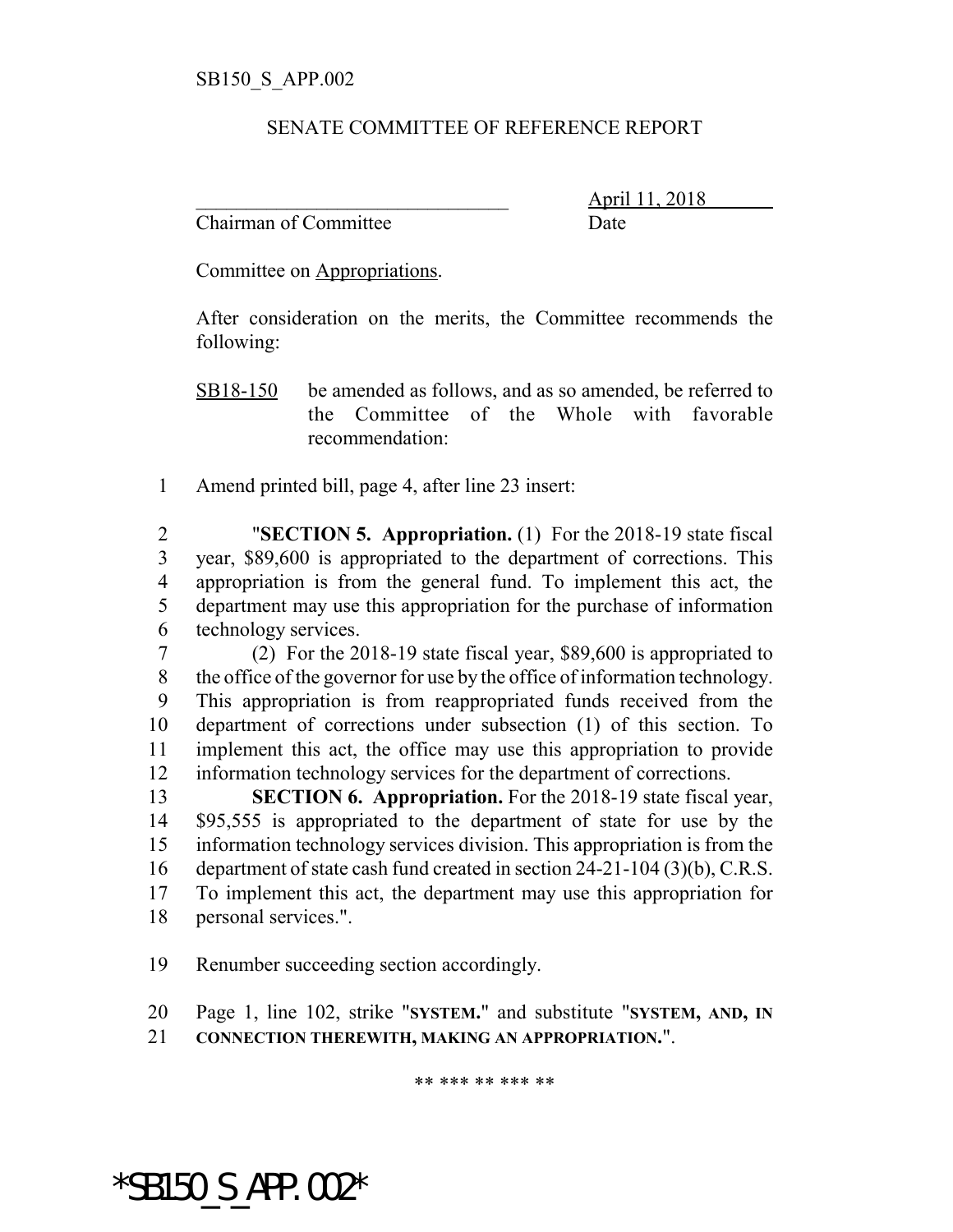## SENATE COMMITTEE OF REFERENCE REPORT

Chairman of Committee Date

\_\_\_\_\_\_\_\_\_\_\_\_\_\_\_\_\_\_\_\_\_\_\_\_\_\_\_\_\_\_\_ April 11, 2018

Committee on Appropriations.

After consideration on the merits, the Committee recommends the following:

- SB18-150 be amended as follows, and as so amended, be referred to the Committee of the Whole with favorable recommendation:
- Amend printed bill, page 4, after line 23 insert:

 "**SECTION 5. Appropriation.** (1) For the 2018-19 state fiscal year, \$89,600 is appropriated to the department of corrections. This appropriation is from the general fund. To implement this act, the department may use this appropriation for the purchase of information technology services.

 (2) For the 2018-19 state fiscal year, \$89,600 is appropriated to the office of the governor for use by the office of information technology. This appropriation is from reappropriated funds received from the department of corrections under subsection (1) of this section. To implement this act, the office may use this appropriation to provide information technology services for the department of corrections.

 **SECTION 6. Appropriation.** For the 2018-19 state fiscal year, \$95,555 is appropriated to the department of state for use by the information technology services division. This appropriation is from the department of state cash fund created in section 24-21-104 (3)(b), C.R.S. To implement this act, the department may use this appropriation for personal services.".

Renumber succeeding section accordingly.

Page 1, line 102, strike "**SYSTEM.**" and substitute "**SYSTEM, AND, IN**

**CONNECTION THEREWITH, MAKING AN APPROPRIATION.**".

\*\* \*\*\* \*\* \*\*\* \*\*

\*SB150\_S\_APP.002\*